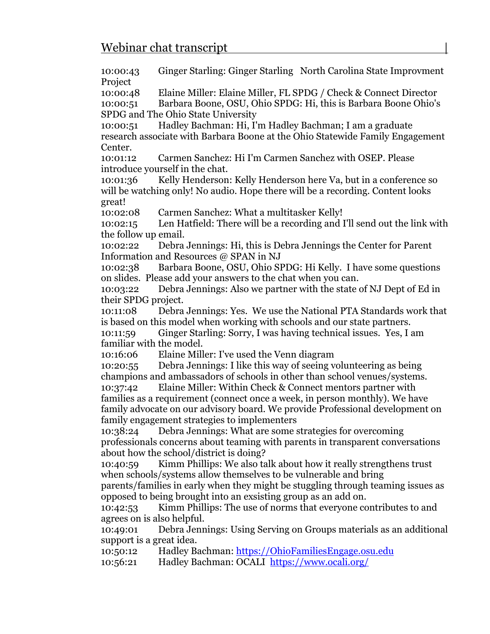10:00:43 Ginger Starling: Ginger Starling North Carolina State Improvment Project

10:00:48 Elaine Miller: Elaine Miller, FL SPDG / Check & Connect Director

10:00:51 Barbara Boone, OSU, Ohio SPDG: Hi, this is Barbara Boone Ohio's SPDG and The Ohio State University

10:00:51 Hadley Bachman: Hi, I'm Hadley Bachman; I am a graduate research associate with Barbara Boone at the Ohio Statewide Family Engagement Center.

10:01:12 Carmen Sanchez: Hi I'm Carmen Sanchez with OSEP. Please introduce yourself in the chat.

10:01:36 Kelly Henderson: Kelly Henderson here Va, but in a conference so will be watching only! No audio. Hope there will be a recording. Content looks great!

10:02:08 Carmen Sanchez: What a multitasker Kelly!

10:02:15 Len Hatfield: There will be a recording and I'll send out the link with the follow up email.

10:02:22 Debra Jennings: Hi, this is Debra Jennings the Center for Parent Information and Resources @ SPAN in NJ

10:02:38 Barbara Boone, OSU, Ohio SPDG: Hi Kelly. I have some questions on slides. Please add your answers to the chat when you can.

10:03:22 Debra Jennings: Also we partner with the state of NJ Dept of Ed in their SPDG project.

10:11:08 Debra Jennings: Yes. We use the National PTA Standards work that is based on this model when working with schools and our state partners.

10:11:59 Ginger Starling: Sorry, I was having technical issues. Yes, I am familiar with the model.

10:16:06 Elaine Miller: I've used the Venn diagram

10:20:55 Debra Jennings: I like this way of seeing volunteering as being champions and ambassadors of schools in other than school venues/systems.

10:37:42 Elaine Miller: Within Check & Connect mentors partner with families as a requirement (connect once a week, in person monthly). We have family advocate on our advisory board. We provide Professional development on family engagement strategies to implementers

10:38:24 Debra Jennings: What are some strategies for overcoming professionals concerns about teaming with parents in transparent conversations about how the school/district is doing?

10:40:59 Kimm Phillips: We also talk about how it really strengthens trust when schools/systems allow themselves to be vulnerable and bring

parents/families in early when they might be stuggling through teaming issues as opposed to being brought into an exsisting group as an add on.

10:42:53 Kimm Phillips: The use of norms that everyone contributes to and agrees on is also helpful.

10:49:01 Debra Jennings: Using Serving on Groups materials as an additional support is a great idea.

10:50:12 Hadley Bachman: [https://OhioFamiliesEngage.osu.edu](https://ohiofamiliesengage.osu.edu/)

10:56:21 Hadley Bachman: OCALI <https://www.ocali.org/>